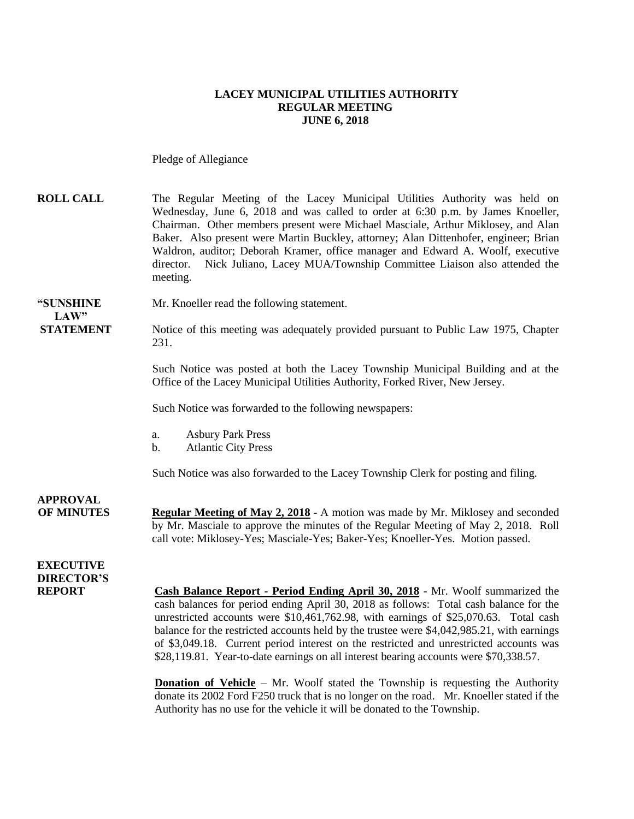#### **LACEY MUNICIPAL UTILITIES AUTHORITY REGULAR MEETING JUNE 6, 2018**

Pledge of Allegiance

**ROLL CALL** The Regular Meeting of the Lacey Municipal Utilities Authority was held on Wednesday, June 6, 2018 and was called to order at 6:30 p.m. by James Knoeller, Chairman. Other members present were Michael Masciale, Arthur Miklosey, and Alan Baker. Also present were Martin Buckley, attorney; Alan Dittenhofer, engineer; Brian Waldron, auditor; Deborah Kramer, office manager and Edward A. Woolf, executive director. Nick Juliano, Lacey MUA/Township Committee Liaison also attended the meeting.

**"SUNSHINE** Mr. Knoeller read the following statement.

**STATEMENT** Notice of this meeting was adequately provided pursuant to Public Law 1975, Chapter 231.

> Such Notice was posted at both the Lacey Township Municipal Building and at the Office of the Lacey Municipal Utilities Authority, Forked River, New Jersey.

Such Notice was forwarded to the following newspapers:

- a. Asbury Park Press
- b. Atlantic City Press

Such Notice was also forwarded to the Lacey Township Clerk for posting and filing.

**APPROVAL**

 $LAW"$ 

**OF MINUTES Regular Meeting of May 2, 2018** - A motion was made by Mr. Miklosey and seconded by Mr. Masciale to approve the minutes of the Regular Meeting of May 2, 2018. Roll call vote: Miklosey-Yes; Masciale-Yes; Baker-Yes; Knoeller-Yes. Motion passed.

### **EXECUTIVE DIRECTOR'S**

**REPORT Cash Balance Report - Period Ending April 30, 2018** - Mr. Woolf summarized the cash balances for period ending April 30, 2018 as follows: Total cash balance for the unrestricted accounts were \$10,461,762.98, with earnings of \$25,070.63. Total cash balance for the restricted accounts held by the trustee were \$4,042,985.21, with earnings of \$3,049.18. Current period interest on the restricted and unrestricted accounts was \$28,119.81. Year-to-date earnings on all interest bearing accounts were \$70,338.57.

> **Donation of Vehicle** – Mr. Woolf stated the Township is requesting the Authority donate its 2002 Ford F250 truck that is no longer on the road. Mr. Knoeller stated if the Authority has no use for the vehicle it will be donated to the Township.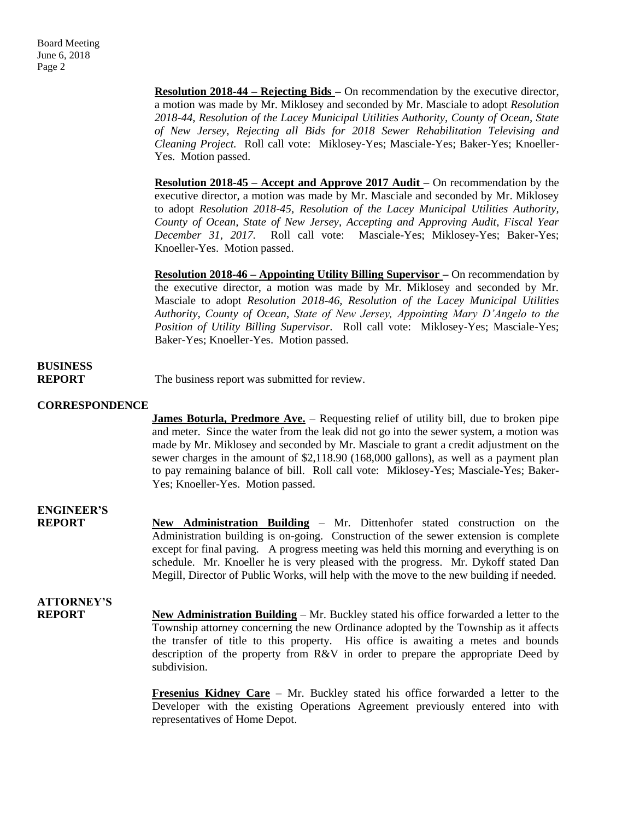**Resolution 2018-44 – Rejecting Bids –** On recommendation by the executive director, a motion was made by Mr. Miklosey and seconded by Mr. Masciale to adopt *Resolution 2018-44, Resolution of the Lacey Municipal Utilities Authority, County of Ocean, State of New Jersey, Rejecting all Bids for 2018 Sewer Rehabilitation Televising and Cleaning Project.* Roll call vote: Miklosey-Yes; Masciale-Yes; Baker-Yes; Knoeller-Yes. Motion passed.

**Resolution 2018-45 – Accept and Approve 2017 Audit –** On recommendation by the executive director, a motion was made by Mr. Masciale and seconded by Mr. Miklosey to adopt *Resolution 2018-45, Resolution of the Lacey Municipal Utilities Authority, County of Ocean, State of New Jersey, Accepting and Approving Audit, Fiscal Year December 31, 2017.* Roll call vote: Masciale-Yes; Miklosey-Yes; Baker-Yes; Knoeller-Yes. Motion passed.

**Resolution 2018-46 – Appointing Utility Billing Supervisor –** On recommendation by the executive director, a motion was made by Mr. Miklosey and seconded by Mr. Masciale to adopt *Resolution 2018-46, Resolution of the Lacey Municipal Utilities Authority, County of Ocean, State of New Jersey, Appointing Mary D'Angelo to the Position of Utility Billing Supervisor.* Roll call vote: Miklosey-Yes; Masciale-Yes; Baker-Yes; Knoeller-Yes. Motion passed.

## **BUSINESS**

**REPORT** The business report was submitted for review.

#### **CORRESPONDENCE**

**James Boturla, Predmore Ave.** – Requesting relief of utility bill, due to broken pipe and meter. Since the water from the leak did not go into the sewer system, a motion was made by Mr. Miklosey and seconded by Mr. Masciale to grant a credit adjustment on the sewer charges in the amount of \$2,118.90 (168,000 gallons), as well as a payment plan to pay remaining balance of bill. Roll call vote: Miklosey-Yes; Masciale-Yes; Baker-Yes; Knoeller-Yes. Motion passed.

### **ENGINEER'S**

**REPORT New Administration Building** – Mr. Dittenhofer stated construction on the Administration building is on-going. Construction of the sewer extension is complete except for final paving. A progress meeting was held this morning and everything is on schedule. Mr. Knoeller he is very pleased with the progress. Mr. Dykoff stated Dan Megill, Director of Public Works, will help with the move to the new building if needed.

### **ATTORNEY'S**

**REPORT New Administration Building** – Mr. Buckley stated his office forwarded a letter to the Township attorney concerning the new Ordinance adopted by the Township as it affects the transfer of title to this property. His office is awaiting a metes and bounds description of the property from R&V in order to prepare the appropriate Deed by subdivision.

> **Fresenius Kidney Care** – Mr. Buckley stated his office forwarded a letter to the Developer with the existing Operations Agreement previously entered into with representatives of Home Depot.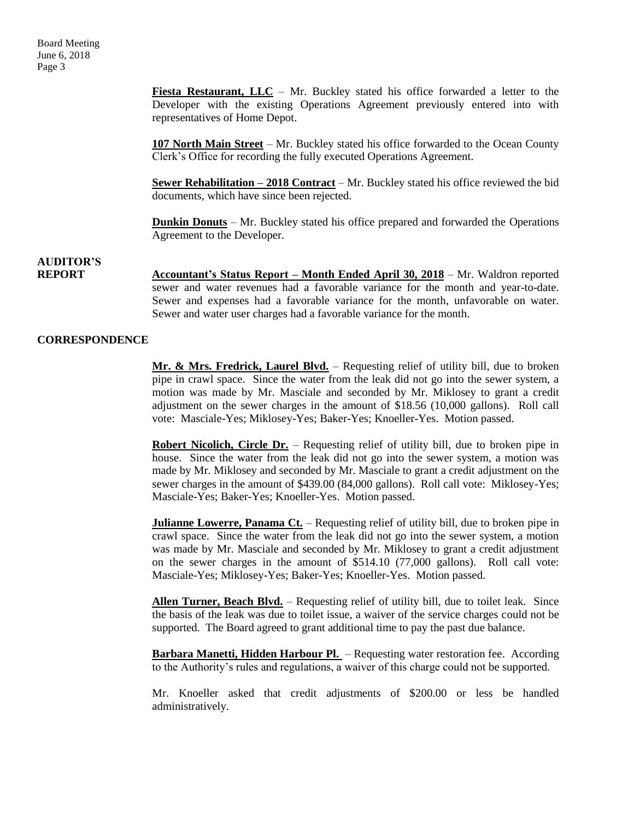**Fiesta Restaurant, LLC** – Mr. Buckley stated his office forwarded a letter to the Developer with the existing Operations Agreement previously entered into with representatives of Home Depot.

**107 North Main Street** – Mr. Buckley stated his office forwarded to the Ocean County Clerk's Office for recording the fully executed Operations Agreement.

**Sewer Rehabilitation – 2018 Contract** – Mr. Buckley stated his office reviewed the bid documents, which have since been rejected.

**Dunkin Donuts** – Mr. Buckley stated his office prepared and forwarded the Operations Agreement to the Developer.

**AUDITOR'S**

**REPORT Accountant's Status Report – Month Ended April 30, 2018** – Mr. Waldron reported sewer and water revenues had a favorable variance for the month and year-to-date. Sewer and expenses had a favorable variance for the month, unfavorable on water. Sewer and water user charges had a favorable variance for the month.

#### **CORRESPONDENCE**

**Mr. & Mrs. Fredrick, Laurel Blvd.** – Requesting relief of utility bill, due to broken pipe in crawl space. Since the water from the leak did not go into the sewer system, a motion was made by Mr. Masciale and seconded by Mr. Miklosey to grant a credit adjustment on the sewer charges in the amount of \$18.56 (10,000 gallons). Roll call vote: Masciale-Yes; Miklosey-Yes; Baker-Yes; Knoeller-Yes. Motion passed.

**Robert Nicolich, Circle Dr.** – Requesting relief of utility bill, due to broken pipe in house. Since the water from the leak did not go into the sewer system, a motion was made by Mr. Miklosey and seconded by Mr. Masciale to grant a credit adjustment on the sewer charges in the amount of \$439.00 (84,000 gallons). Roll call vote: Miklosey-Yes; Masciale-Yes; Baker-Yes; Knoeller-Yes. Motion passed.

**Julianne Lowerre, Panama Ct.** – Requesting relief of utility bill, due to broken pipe in crawl space. Since the water from the leak did not go into the sewer system, a motion was made by Mr. Masciale and seconded by Mr. Miklosey to grant a credit adjustment on the sewer charges in the amount of \$514.10 (77,000 gallons). Roll call vote: Masciale-Yes; Miklosey-Yes; Baker-Yes; Knoeller-Yes. Motion passed.

**Allen Turner, Beach Blvd.** – Requesting relief of utility bill, due to toilet leak. Since the basis of the leak was due to toilet issue, a waiver of the service charges could not be supported. The Board agreed to grant additional time to pay the past due balance.

**Barbara Manetti, Hidden Harbour Pl.** - Requesting water restoration fee. According to the Authority's rules and regulations, a waiver of this charge could not be supported.

Mr. Knoeller asked that credit adjustments of \$200.00 or less be handled administratively.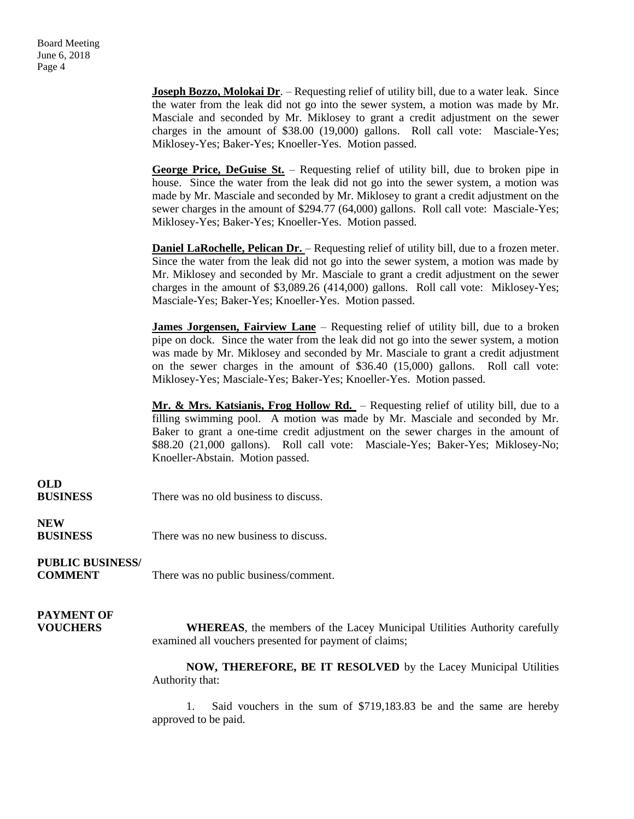**Joseph Bozzo, Molokai Dr.** – Requesting relief of utility bill, due to a water leak. Since the water from the leak did not go into the sewer system, a motion was made by Mr. Masciale and seconded by Mr. Miklosey to grant a credit adjustment on the sewer charges in the amount of \$38.00 (19,000) gallons. Roll call vote: Masciale-Yes; Miklosey-Yes; Baker-Yes; Knoeller-Yes. Motion passed.

**George Price, DeGuise St.** – Requesting relief of utility bill, due to broken pipe in house. Since the water from the leak did not go into the sewer system, a motion was made by Mr. Masciale and seconded by Mr. Miklosey to grant a credit adjustment on the sewer charges in the amount of \$294.77 (64,000) gallons. Roll call vote: Masciale-Yes; Miklosey-Yes; Baker-Yes; Knoeller-Yes. Motion passed.

**Daniel LaRochelle, Pelican Dr.** - Requesting relief of utility bill, due to a frozen meter. Since the water from the leak did not go into the sewer system, a motion was made by Mr. Miklosey and seconded by Mr. Masciale to grant a credit adjustment on the sewer charges in the amount of \$3,089.26 (414,000) gallons. Roll call vote: Miklosey-Yes; Masciale-Yes; Baker-Yes; Knoeller-Yes. Motion passed.

**James Jorgensen, Fairview Lane** – Requesting relief of utility bill, due to a broken pipe on dock. Since the water from the leak did not go into the sewer system, a motion was made by Mr. Miklosey and seconded by Mr. Masciale to grant a credit adjustment on the sewer charges in the amount of \$36.40 (15,000) gallons. Roll call vote: Miklosey-Yes; Masciale-Yes; Baker-Yes; Knoeller-Yes. Motion passed.

**Mr. & Mrs. Katsianis, Frog Hollow Rd.** – Requesting relief of utility bill, due to a filling swimming pool. A motion was made by Mr. Masciale and seconded by Mr. Baker to grant a one-time credit adjustment on the sewer charges in the amount of \$88.20 (21,000 gallons). Roll call vote: Masciale-Yes; Baker-Yes; Miklosey-No; Knoeller-Abstain. Motion passed.

# **OLD**

**BUSINESS** There was no old business to discuss.

# **NEW**

**BUSINESS** There was no new business to discuss.

#### **PUBLIC BUSINESS/**

**COMMENT** There was no public business/comment.

# **PAYMENT OF**

**VOUCHERS WHEREAS**, the members of the Lacey Municipal Utilities Authority carefully examined all vouchers presented for payment of claims;

> **NOW, THEREFORE, BE IT RESOLVED** by the Lacey Municipal Utilities Authority that:

> 1. Said vouchers in the sum of \$719,183.83 be and the same are hereby approved to be paid.